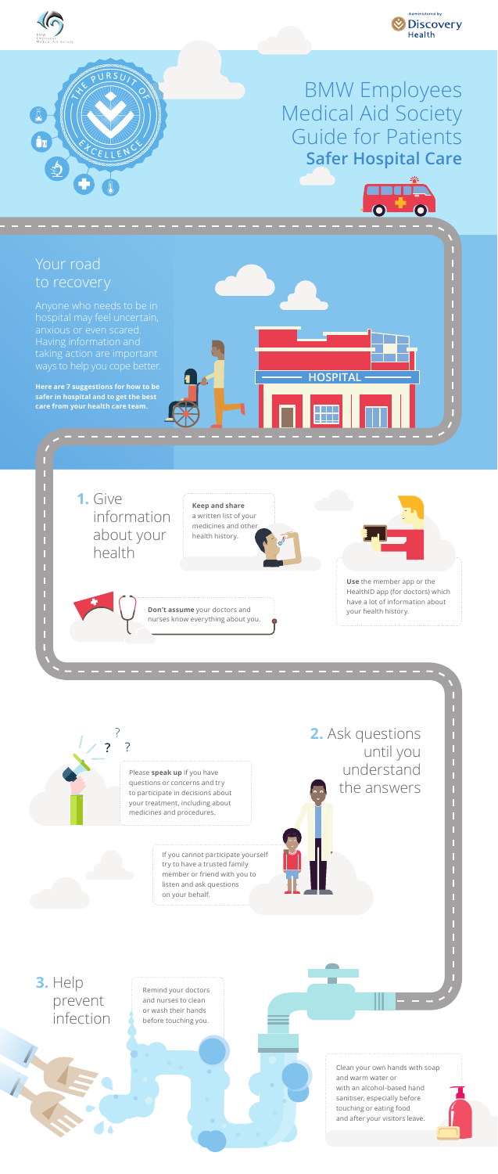Clean your own hands with soap and warm water or with an alcohol-based hand sanitiser, especially before touching or eating food and after your visitors leave.

hospital may feel uncertain, Having information and taking action are important ways to help you cope better.

**Here are 7 suggestions for how to be safer in hospital and to get the best care from your health care team.**

**HOSPITAL**







## BMW Employees Medical Aid Society Guide for Patients **Safer Hospital Care**

 $\bullet$ 

**2.** Ask questions



until you understand the answers

n

If you cannot participate yourself try to have a trusted family member or friend with you to listen and ask questions on your behalf.

**3.** Help prevent infection



Please **speak up** if you have questions or concerns and try to participate in decisions about your treatment, including about medicines and procedures.

> Remind your doctors and nurses to clean or wash their hands before touching you.